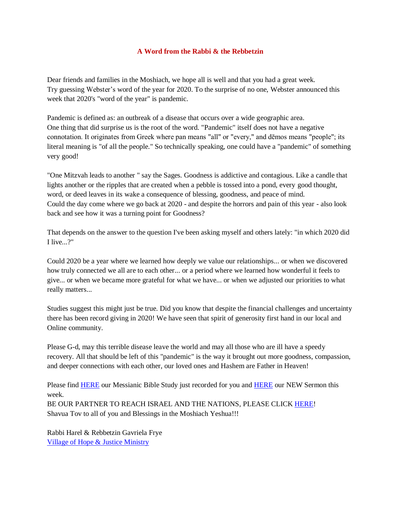## **A Word from the Rabbi & the Rebbetzin**

Dear friends and families in the Moshiach, we hope all is well and that you had a great week. Try guessing Webster's word of the year for 2020. To the surprise of no one, Webster announced this week that 2020's "word of the year" is pandemic.

Pandemic is defined as: an outbreak of a disease that occurs over a wide geographic area. One thing that did surprise us is the root of the word. "Pandemic" itself does not have a negative connotation. It originates from Greek where pan means "all" or "every," and dēmos means "people"; its literal meaning is "of all the people." So technically speaking, one could have a "pandemic" of something very good!

"One Mitzvah leads to another " say the Sages. Goodness is addictive and contagious. Like a candle that lights another or the ripples that are created when a pebble is tossed into a pond, every good thought, word, or deed leaves in its wake a consequence of blessing, goodness, and peace of mind. Could the day come where we go back at 2020 - and despite the horrors and pain of this year - also look back and see how it was a turning point for Goodness?

That depends on the answer to the question I've been asking myself and others lately: "in which 2020 did I live...?"

Could 2020 be a year where we learned how deeply we value our relationships... or when we discovered how truly connected we all are to each other... or a period where we learned how wonderful it feels to give... or when we became more grateful for what we have... or when we adjusted our priorities to what really matters...

Studies suggest this might just be true. Did you know that despite the financial challenges and uncertainty there has been record giving in 2020! We have seen that spirit of generosity first hand in our local and Online community.

Please G-d, may this terrible disease leave the world and may all those who are ill have a speedy recovery. All that should be left of this "pandemic" is the way it brought out more goodness, compassion, and deeper connections with each other, our loved ones and Hashem are Father in Heaven!

Please find **HERE** our Messianic Bible Study just recorded for you and **HERE** our NEW Sermon this week.

BE OUR PARTNER TO REACH ISRAEL AND THE NATIONS, PLEASE CLIC[K HERE!](https://villageofhopejusticeministry.org/donation-donazione/) Shavua Tov to all of you and Blessings in the Moshiach Yeshua!!!

Rabbi Harel & Rebbetzin Gavriela Frye [Village of Hope & Justice Ministry](https://villageofhopejusticeministry.org/donation-donazione/)